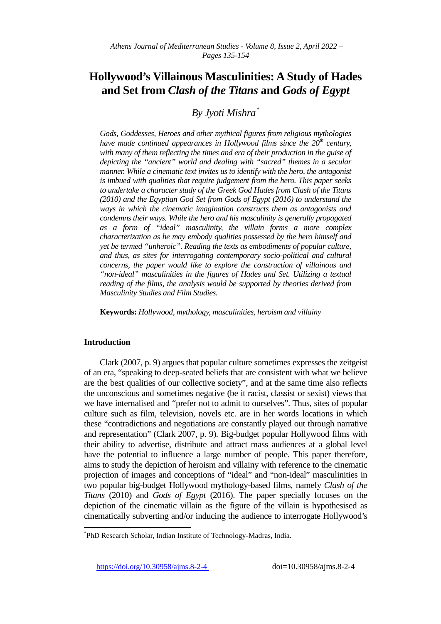# **Hollywood's Villainous Masculinities: A Study of Hades and Set from** *Clash of the Titans* **and** *Gods of Egypt*

*By Jyoti Mishra[\\*](#page-0-0)*

*Gods, Goddesses, Heroes and other mythical figures from religious mythologies have made continued appearances in Hollywood films since the 20<sup>th</sup> century, with many of them reflecting the times and era of their production in the guise of depicting the "ancient" world and dealing with "sacred" themes in a secular manner. While a cinematic text invites us to identify with the hero, the antagonist is imbued with qualities that require judgement from the hero. This paper seeks to undertake a character study of the Greek God Hades from Clash of the Titans (2010) and the Egyptian God Set from Gods of Egypt (2016) to understand the ways in which the cinematic imagination constructs them as antagonists and condemns their ways. While the hero and his masculinity is generally propagated as a form of "ideal" masculinity, the villain forms a more complex characterization as he may embody qualities possessed by the hero himself and yet be termed "unheroic". Reading the texts as embodiments of popular culture, and thus, as sites for interrogating contemporary socio-political and cultural concerns, the paper would like to explore the construction of villainous and "non-ideal" masculinities in the figures of Hades and Set. Utilizing a textual reading of the films, the analysis would be supported by theories derived from Masculinity Studies and Film Studies.*

**Keywords:** *Hollywood, mythology, masculinities, heroism and villainy*

## **Introduction**

Clark (2007, p. 9) argues that popular culture sometimes expresses the zeitgeist of an era, "speaking to deep-seated beliefs that are consistent with what we believe are the best qualities of our collective society", and at the same time also reflects the unconscious and sometimes negative (be it racist, classist or sexist) views that we have internalised and "prefer not to admit to ourselves". Thus, sites of popular culture such as film, television, novels etc. are in her words locations in which these "contradictions and negotiations are constantly played out through narrative and representation" (Clark 2007, p. 9). Big-budget popular Hollywood films with their ability to advertise, distribute and attract mass audiences at a global level have the potential to influence a large number of people. This paper therefore, aims to study the depiction of heroism and villainy with reference to the cinematic projection of images and conceptions of "ideal" and "non-ideal" masculinities in two popular big-budget Hollywood mythology-based films, namely *Clash of the Titans* (2010) and *Gods of Egypt* (2016). The paper specially focuses on the depiction of the cinematic villain as the figure of the villain is hypothesised as cinematically subverting and/or inducing the audience to interrogate Hollywood's

<https://doi.org/10.30958/ajms.8-2-4>doi=10.30958/ajms.8-2-4

<span id="page-0-0"></span>\* PhD Research Scholar, Indian Institute of Technology-Madras, India.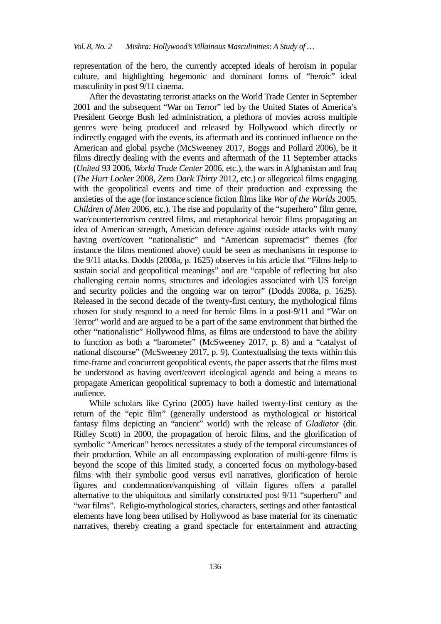representation of the hero, the currently accepted ideals of heroism in popular culture, and highlighting hegemonic and dominant forms of "heroic" ideal masculinity in post 9/11 cinema.

After the devastating terrorist attacks on the World Trade Center in September 2001 and the subsequent "War on Terror" led by the United States of America's President George Bush led administration, a plethora of movies across multiple genres were being produced and released by Hollywood which directly or indirectly engaged with the events, its aftermath and its continued influence on the American and global psyche (McSweeney 2017, Boggs and Pollard 2006), be it films directly dealing with the events and aftermath of the 11 September attacks (*United 93* 2006, *World Trade Center* 2006, etc.), the wars in Afghanistan and Iraq (*The Hurt Locker* 2008, *Zero Dark Thirty* 2012, etc.) or allegorical films engaging with the geopolitical events and time of their production and expressing the anxieties of the age (for instance science fiction films like *War of the Worlds* 2005, *Children of Men* 2006, etc.). The rise and popularity of the "superhero" film genre, war/counterterrorism centred films, and metaphorical heroic films propagating an idea of American strength, American defence against outside attacks with many having overt/covert "nationalistic" and "American supremacist" themes (for instance the films mentioned above) could be seen as mechanisms in response to the 9/11 attacks. Dodds (2008a, p. 1625) observes in his article that "Films help to sustain social and geopolitical meanings" and are "capable of reflecting but also challenging certain norms, structures and ideologies associated with US foreign and security policies and the ongoing war on terror" (Dodds 2008a, p. 1625). Released in the second decade of the twenty-first century, the mythological films chosen for study respond to a need for heroic films in a post-9/11 and "War on Terror" world and are argued to be a part of the same environment that birthed the other "nationalistic" Hollywood films, as films are understood to have the ability to function as both a "barometer" (McSweeney 2017, p. 8) and a "catalyst of national discourse" (McSweeney 2017, p. 9). Contextualising the texts within this time-frame and concurrent geopolitical events, the paper asserts that the films must be understood as having overt/covert ideological agenda and being a means to propagate American geopolitical supremacy to both a domestic and international audience.

While scholars like Cyrino (2005) have hailed twenty-first century as the return of the "epic film" (generally understood as mythological or historical fantasy films depicting an "ancient" world) with the release of *Gladiator* (dir. Ridley Scott) in 2000, the propagation of heroic films, and the glorification of symbolic "American" heroes necessitates a study of the temporal circumstances of their production. While an all encompassing exploration of multi-genre films is beyond the scope of this limited study, a concerted focus on mythology-based films with their symbolic good versus evil narratives, glorification of heroic figures and condemnation/vanquishing of villain figures offers a parallel alternative to the ubiquitous and similarly constructed post 9/11 "superhero" and "war films". Religio-mythological stories, characters, settings and other fantastical elements have long been utilised by Hollywood as base material for its cinematic narratives, thereby creating a grand spectacle for entertainment and attracting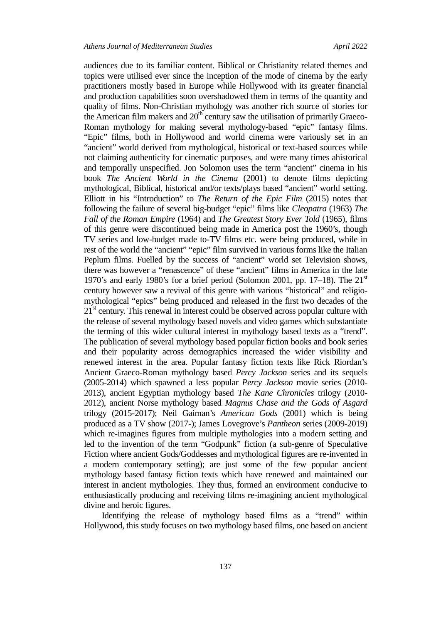audiences due to its familiar content. Biblical or Christianity related themes and topics were utilised ever since the inception of the mode of cinema by the early practitioners mostly based in Europe while Hollywood with its greater financial and production capabilities soon overshadowed them in terms of the quantity and quality of films. Non-Christian mythology was another rich source of stories for the American film makers and  $20<sup>th</sup>$  century saw the utilisation of primarily Graeco-Roman mythology for making several mythology-based "epic" fantasy films. "Epic" films, both in Hollywood and world cinema were variously set in an "ancient" world derived from mythological, historical or text-based sources while not claiming authenticity for cinematic purposes, and were many times ahistorical and temporally unspecified. Jon Solomon uses the term "ancient" cinema in his book *The Ancient World in the Cinema* (2001) to denote films depicting mythological, Biblical, historical and/or texts/plays based "ancient" world setting. Elliott in his "Introduction" to *The Return of the Epic Film* (2015) notes that following the failure of several big-budget "epic" films like *Cleopatra* (1963) *The Fall of the Roman Empire* (1964) and *The Greatest Story Ever Told* (1965), films of this genre were discontinued being made in America post the 1960's, though TV series and low-budget made to-TV films etc. were being produced, while in rest of the world the "ancient" "epic" film survived in various forms like the Italian Peplum films. Fuelled by the success of "ancient" world set Television shows, there was however a "renascence" of these "ancient" films in America in the late 1970's and early 1980's for a brief period (Solomon 2001, pp. 17–18). The  $21<sup>st</sup>$ century however saw a revival of this genre with various "historical" and religiomythological "epics" being produced and released in the first two decades of the  $21<sup>st</sup>$  century. This renewal in interest could be observed across popular culture with the release of several mythology based novels and video games which substantiate the terming of this wider cultural interest in mythology based texts as a "trend". The publication of several mythology based popular fiction books and book series and their popularity across demographics increased the wider visibility and renewed interest in the area. Popular fantasy fiction texts like Rick Riordan's Ancient Graeco-Roman mythology based *Percy Jackson* series and its sequels (2005-2014) which spawned a less popular *Percy Jackson* movie series (2010- 2013), ancient Egyptian mythology based *The Kane Chronicles* trilogy (2010- 2012), ancient Norse mythology based *Magnus Chase and the Gods of Asgard* trilogy (2015-2017); Neil Gaiman's *American Gods* (2001) which is being produced as a TV show (2017-); James Lovegrove's *Pantheon* series (2009-2019) which re-imagines figures from multiple mythologies into a modern setting and led to the invention of the term "Godpunk" fiction (a sub-genre of Speculative Fiction where ancient Gods/Goddesses and mythological figures are re-invented in a modern contemporary setting); are just some of the few popular ancient mythology based fantasy fiction texts which have renewed and maintained our interest in ancient mythologies. They thus, formed an environment conducive to enthusiastically producing and receiving films re-imagining ancient mythological divine and heroic figures.

Identifying the release of mythology based films as a "trend" within Hollywood, this study focuses on two mythology based films, one based on ancient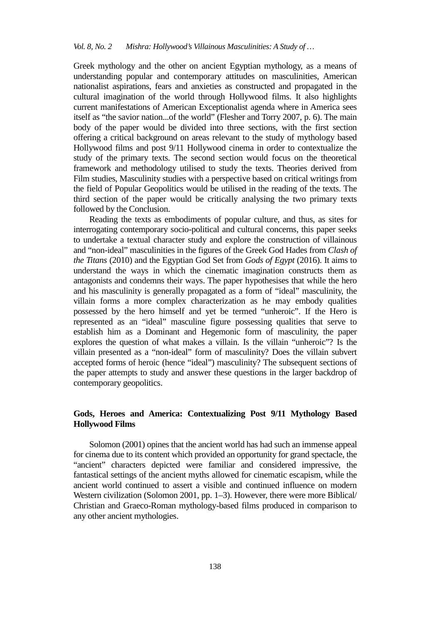Greek mythology and the other on ancient Egyptian mythology, as a means of understanding popular and contemporary attitudes on masculinities, American nationalist aspirations, fears and anxieties as constructed and propagated in the cultural imagination of the world through Hollywood films. It also highlights current manifestations of American Exceptionalist agenda where in America sees itself as "the savior nation...of the world" (Flesher and Torry 2007, p. 6). The main body of the paper would be divided into three sections, with the first section offering a critical background on areas relevant to the study of mythology based Hollywood films and post 9/11 Hollywood cinema in order to contextualize the study of the primary texts. The second section would focus on the theoretical framework and methodology utilised to study the texts. Theories derived from Film studies, Masculinity studies with a perspective based on critical writings from the field of Popular Geopolitics would be utilised in the reading of the texts. The third section of the paper would be critically analysing the two primary texts followed by the Conclusion.

Reading the texts as embodiments of popular culture, and thus, as sites for interrogating contemporary socio-political and cultural concerns, this paper seeks to undertake a textual character study and explore the construction of villainous and "non-ideal" masculinities in the figures of the Greek God Hades from *Clash of the Titans* (2010) and the Egyptian God Set from *Gods of Egypt* (2016). It aims to understand the ways in which the cinematic imagination constructs them as antagonists and condemns their ways. The paper hypothesises that while the hero and his masculinity is generally propagated as a form of "ideal" masculinity, the villain forms a more complex characterization as he may embody qualities possessed by the hero himself and yet be termed "unheroic". If the Hero is represented as an "ideal" masculine figure possessing qualities that serve to establish him as a Dominant and Hegemonic form of masculinity, the paper explores the question of what makes a villain. Is the villain "unheroic"? Is the villain presented as a "non-ideal" form of masculinity? Does the villain subvert accepted forms of heroic (hence "ideal") masculinity? The subsequent sections of the paper attempts to study and answer these questions in the larger backdrop of contemporary geopolitics.

## **Gods, Heroes and America: Contextualizing Post 9/11 Mythology Based Hollywood Films**

Solomon (2001) opines that the ancient world has had such an immense appeal for cinema due to its content which provided an opportunity for grand spectacle, the "ancient" characters depicted were familiar and considered impressive, the fantastical settings of the ancient myths allowed for cinematic escapism, while the ancient world continued to assert a visible and continued influence on modern Western civilization (Solomon 2001, pp. 1–3). However, there were more Biblical/ Christian and Graeco-Roman mythology-based films produced in comparison to any other ancient mythologies.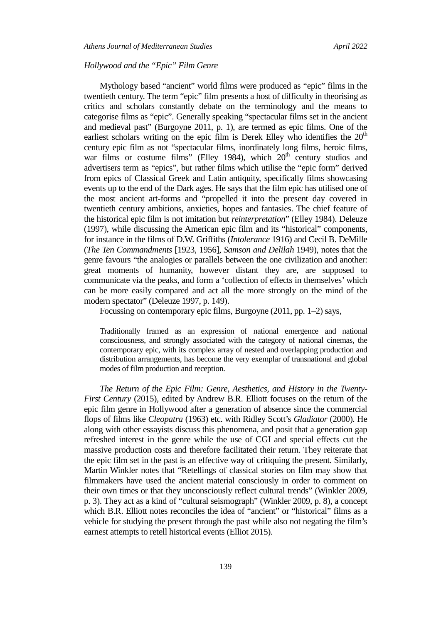## *Hollywood and the "Epic" Film Genre*

Mythology based "ancient" world films were produced as "epic" films in the twentieth century. The term "epic" film presents a host of difficulty in theorising as critics and scholars constantly debate on the terminology and the means to categorise films as "epic". Generally speaking "spectacular films set in the ancient and medieval past" (Burgoyne 2011, p. 1), are termed as epic films. One of the earliest scholars writing on the epic film is Derek Elley who identifies the  $20<sup>th</sup>$ century epic film as not "spectacular films, inordinately long films, heroic films, war films or costume films" (Elley 1984), which  $20<sup>th</sup>$  century studios and advertisers term as "epics", but rather films which utilise the "epic form" derived from epics of Classical Greek and Latin antiquity, specifically films showcasing events up to the end of the Dark ages. He says that the film epic has utilised one of the most ancient art-forms and "propelled it into the present day covered in twentieth century ambitions, anxieties, hopes and fantasies. The chief feature of the historical epic film is not imitation but *reinterpretation*" (Elley 1984). Deleuze (1997), while discussing the American epic film and its "historical" components, for instance in the films of D.W. Griffiths (*Intolerance* 1916) and Cecil B. DeMille (*The Ten Commandments* [1923, 1956], *Samson and Delilah* 1949), notes that the genre favours "the analogies or parallels between the one civilization and another: great moments of humanity, however distant they are, are supposed to communicate via the peaks, and form a 'collection of effects in themselves' which can be more easily compared and act all the more strongly on the mind of the modern spectator" (Deleuze 1997, p. 149).

Focussing on contemporary epic films, Burgoyne (2011, pp. 1–2) says,

Traditionally framed as an expression of national emergence and national consciousness, and strongly associated with the category of national cinemas, the contemporary epic, with its complex array of nested and overlapping production and distribution arrangements, has become the very exemplar of transnational and global modes of film production and reception.

*The Return of the Epic Film: Genre, Aesthetics, and History in the Twenty-First Century* (2015), edited by Andrew B.R. Elliott focuses on the return of the epic film genre in Hollywood after a generation of absence since the commercial flops of films like *Cleopatra* (1963) etc. with Ridley Scott's *Gladiator* (2000). He along with other essayists discuss this phenomena, and posit that a generation gap refreshed interest in the genre while the use of CGI and special effects cut the massive production costs and therefore facilitated their return. They reiterate that the epic film set in the past is an effective way of critiquing the present. Similarly, Martin Winkler notes that "Retellings of classical stories on film may show that filmmakers have used the ancient material consciously in order to comment on their own times or that they unconsciously reflect cultural trends" (Winkler 2009, p. 3). They act as a kind of "cultural seismograph" (Winkler 2009, p. 8), a concept which B.R. Elliott notes reconciles the idea of "ancient" or "historical" films as a vehicle for studying the present through the past while also not negating the film's earnest attempts to retell historical events (Elliot 2015).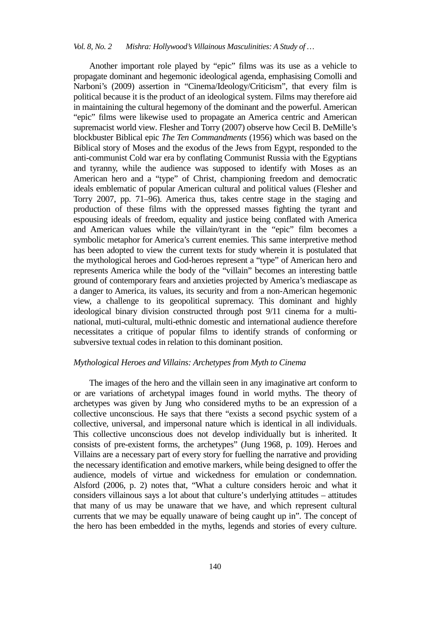Another important role played by "epic" films was its use as a vehicle to propagate dominant and hegemonic ideological agenda, emphasising Comolli and Narboni's (2009) assertion in "Cinema/Ideology/Criticism", that every film is political because it is the product of an ideological system. Films may therefore aid in maintaining the cultural hegemony of the dominant and the powerful. American "epic" films were likewise used to propagate an America centric and American supremacist world view. Flesher and Torry (2007) observe how Cecil B. DeMille's blockbuster Biblical epic *The Ten Commandments* (1956) which was based on the Biblical story of Moses and the exodus of the Jews from Egypt, responded to the anti-communist Cold war era by conflating Communist Russia with the Egyptians and tyranny, while the audience was supposed to identify with Moses as an American hero and a "type" of Christ, championing freedom and democratic ideals emblematic of popular American cultural and political values (Flesher and Torry 2007, pp. 71–96). America thus, takes centre stage in the staging and production of these films with the oppressed masses fighting the tyrant and espousing ideals of freedom, equality and justice being conflated with America and American values while the villain/tyrant in the "epic" film becomes a symbolic metaphor for America's current enemies. This same interpretive method has been adopted to view the current texts for study wherein it is postulated that the mythological heroes and God-heroes represent a "type" of American hero and represents America while the body of the "villain" becomes an interesting battle ground of contemporary fears and anxieties projected by America's mediascape as a danger to America, its values, its security and from a non-American hegemonic view, a challenge to its geopolitical supremacy. This dominant and highly ideological binary division constructed through post 9/11 cinema for a multinational, muti-cultural, multi-ethnic domestic and international audience therefore necessitates a critique of popular films to identify strands of conforming or subversive textual codes in relation to this dominant position.

## *Mythological Heroes and Villains: Archetypes from Myth to Cinema*

The images of the hero and the villain seen in any imaginative art conform to or are variations of archetypal images found in world myths. The theory of archetypes was given by Jung who considered myths to be an expression of a collective unconscious. He says that there "exists a second psychic system of a collective, universal, and impersonal nature which is identical in all individuals. This collective unconscious does not develop individually but is inherited. It consists of pre-existent forms, the archetypes" (Jung 1968, p. 109). Heroes and Villains are a necessary part of every story for fuelling the narrative and providing the necessary identification and emotive markers, while being designed to offer the audience, models of virtue and wickedness for emulation or condemnation. Alsford (2006, p. 2) notes that, "What a culture considers heroic and what it considers villainous says a lot about that culture's underlying attitudes – attitudes that many of us may be unaware that we have, and which represent cultural currents that we may be equally unaware of being caught up in". The concept of the hero has been embedded in the myths, legends and stories of every culture.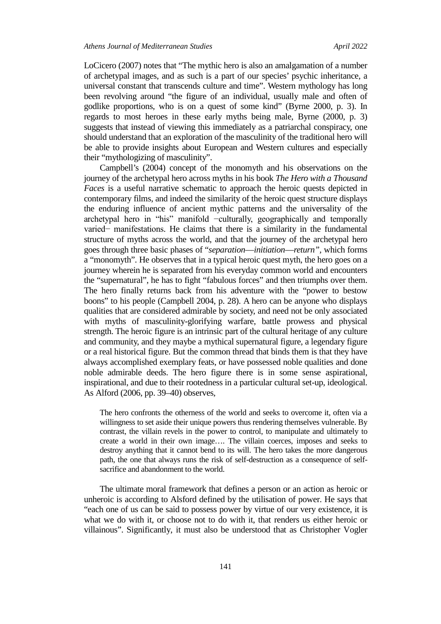LoCicero (2007) notes that "The mythic hero is also an amalgamation of a number of archetypal images, and as such is a part of our species' psychic inheritance, a universal constant that transcends culture and time". Western mythology has long been revolving around "the figure of an individual, usually male and often of godlike proportions, who is on a quest of some kind" (Byrne 2000, p. 3). In regards to most heroes in these early myths being male, Byrne (2000, p. 3) suggests that instead of viewing this immediately as a patriarchal conspiracy, one should understand that an exploration of the masculinity of the traditional hero will be able to provide insights about European and Western cultures and especially their "mythologizing of masculinity".

Campbell's (2004) concept of the monomyth and his observations on the journey of the archetypal hero across myths in his book *The Hero with a Thousand Faces* is a useful narrative schematic to approach the heroic quests depicted in contemporary films, and indeed the similarity of the heroic quest structure displays the enduring influence of ancient mythic patterns and the universality of the archetypal hero in "his" manifold −culturally, geographically and temporally varied− manifestations. He claims that there is a similarity in the fundamental structure of myths across the world, and that the journey of the archetypal hero goes through three basic phases of "*separation*—*initiation*—*return",* which forms a "monomyth". He observes that in a typical heroic quest myth, the hero goes on a journey wherein he is separated from his everyday common world and encounters the "supernatural", he has to fight "fabulous forces" and then triumphs over them. The hero finally returns back from his adventure with the "power to bestow boons" to his people (Campbell 2004, p. 28). A hero can be anyone who displays qualities that are considered admirable by society, and need not be only associated with myths of masculinity-glorifying warfare, battle prowess and physical strength. The heroic figure is an intrinsic part of the cultural heritage of any culture and community, and they maybe a mythical supernatural figure, a legendary figure or a real historical figure. But the common thread that binds them is that they have always accomplished exemplary feats, or have possessed noble qualities and done noble admirable deeds. The hero figure there is in some sense aspirational, inspirational, and due to their rootedness in a particular cultural set-up, ideological. As Alford (2006, pp. 39–40) observes,

The hero confronts the otherness of the world and seeks to overcome it, often via a willingness to set aside their unique powers thus rendering themselves vulnerable. By contrast, the villain revels in the power to control, to manipulate and ultimately to create a world in their own image…. The villain coerces, imposes and seeks to destroy anything that it cannot bend to its will. The hero takes the more dangerous path, the one that always runs the risk of self-destruction as a consequence of selfsacrifice and abandonment to the world.

The ultimate moral framework that defines a person or an action as heroic or unheroic is according to Alsford defined by the utilisation of power. He says that "each one of us can be said to possess power by virtue of our very existence, it is what we do with it, or choose not to do with it, that renders us either heroic or villainous". Significantly, it must also be understood that as Christopher Vogler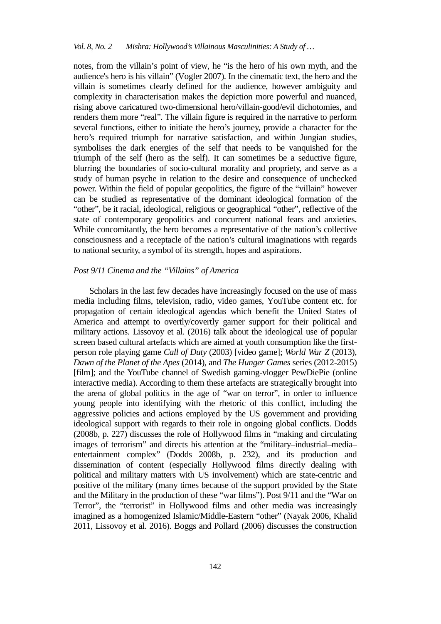#### *Vol. 8, No. 2 Mishra: Hollywood's Villainous Masculinities: A Study of …*

notes, from the villain's point of view, he "is the hero of his own myth, and the audience's hero is his villain" (Vogler 2007). In the cinematic text, the hero and the villain is sometimes clearly defined for the audience, however ambiguity and complexity in characterisation makes the depiction more powerful and nuanced, rising above caricatured two-dimensional hero/villain-good/evil dichotomies, and renders them more "real". The villain figure is required in the narrative to perform several functions, either to initiate the hero's journey, provide a character for the hero's required triumph for narrative satisfaction, and within Jungian studies, symbolises the dark energies of the self that needs to be vanquished for the triumph of the self (hero as the self). It can sometimes be a seductive figure, blurring the boundaries of socio-cultural morality and propriety, and serve as a study of human psyche in relation to the desire and consequence of unchecked power. Within the field of popular geopolitics, the figure of the "villain" however can be studied as representative of the dominant ideological formation of the "other", be it racial, ideological, religious or geographical "other", reflective of the state of contemporary geopolitics and concurrent national fears and anxieties. While concomitantly, the hero becomes a representative of the nation's collective consciousness and a receptacle of the nation's cultural imaginations with regards to national security, a symbol of its strength, hopes and aspirations.

#### *Post 9/11 Cinema and the "Villains" of America*

Scholars in the last few decades have increasingly focused on the use of mass media including films, television, radio, video games, YouTube content etc. for propagation of certain ideological agendas which benefit the United States of America and attempt to overtly/covertly garner support for their political and military actions. Lissovoy et al. (2016) talk about the ideological use of popular screen based cultural artefacts which are aimed at youth consumption like the firstperson role playing game *Call of Duty* (2003) [video game]; *World War Z* (2013)*, Dawn of the Planet of the Apes* (2014), and *The Hunger Games* series (2012-2015) [film]; and the YouTube channel of Swedish gaming-vlogger PewDiePie (online interactive media). According to them these artefacts are strategically brought into the arena of global politics in the age of "war on terror", in order to influence young people into identifying with the rhetoric of this conflict, including the aggressive policies and actions employed by the US government and providing ideological support with regards to their role in ongoing global conflicts. Dodds (2008b, p. 227) discusses the role of Hollywood films in "making and circulating images of terrorism" and directs his attention at the "military–industrial–media– entertainment complex" (Dodds 2008b, p. 232), and its production and dissemination of content (especially Hollywood films directly dealing with political and military matters with US involvement) which are state-centric and positive of the military (many times because of the support provided by the State and the Military in the production of these "war films"). Post 9/11 and the "War on Terror", the "terrorist" in Hollywood films and other media was increasingly imagined as a homogenized Islamic/Middle-Eastern "other" (Nayak 2006, Khalid 2011, Lissovoy et al. 2016). Boggs and Pollard (2006) discusses the construction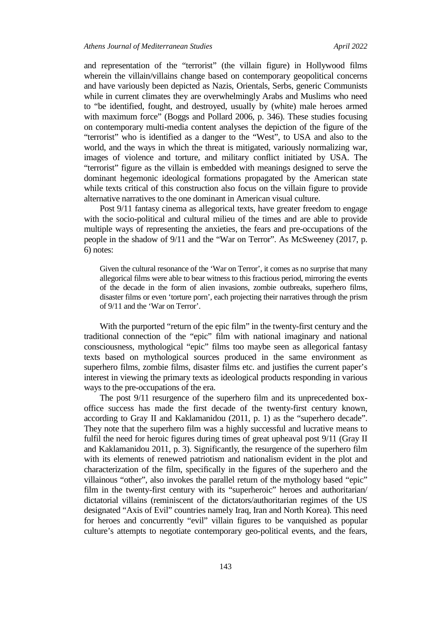and representation of the "terrorist" (the villain figure) in Hollywood films wherein the villain/villains change based on contemporary geopolitical concerns and have variously been depicted as Nazis, Orientals, Serbs, generic Communists while in current climates they are overwhelmingly Arabs and Muslims who need to "be identified, fought, and destroyed, usually by (white) male heroes armed with maximum force" (Boggs and Pollard 2006, p. 346). These studies focusing on contemporary multi-media content analyses the depiction of the figure of the "terrorist" who is identified as a danger to the "West", to USA and also to the world, and the ways in which the threat is mitigated, variously normalizing war, images of violence and torture, and military conflict initiated by USA. The "terrorist" figure as the villain is embedded with meanings designed to serve the dominant hegemonic ideological formations propagated by the American state while texts critical of this construction also focus on the villain figure to provide alternative narratives to the one dominant in American visual culture.

Post 9/11 fantasy cinema as allegorical texts, have greater freedom to engage with the socio-political and cultural milieu of the times and are able to provide multiple ways of representing the anxieties, the fears and pre-occupations of the people in the shadow of 9/11 and the "War on Terror". As McSweeney (2017, p. 6) notes:

Given the cultural resonance of the 'War on Terror', it comes as no surprise that many allegorical films were able to bear witness to this fractious period, mirroring the events of the decade in the form of alien invasions, zombie outbreaks, superhero films, disaster films or even 'torture porn', each projecting their narratives through the prism of 9/11 and the 'War on Terror'.

With the purported "return of the epic film" in the twenty-first century and the traditional connection of the "epic" film with national imaginary and national consciousness, mythological "epic" films too maybe seen as allegorical fantasy texts based on mythological sources produced in the same environment as superhero films, zombie films, disaster films etc. and justifies the current paper's interest in viewing the primary texts as ideological products responding in various ways to the pre-occupations of the era.

The post 9/11 resurgence of the superhero film and its unprecedented boxoffice success has made the first decade of the twenty-first century known, according to Gray II and Kaklamanidou (2011, p. 1) as the "superhero decade". They note that the superhero film was a highly successful and lucrative means to fulfil the need for heroic figures during times of great upheaval post 9/11 (Gray II and Kaklamanidou 2011, p. 3). Significantly, the resurgence of the superhero film with its elements of renewed patriotism and nationalism evident in the plot and characterization of the film, specifically in the figures of the superhero and the villainous "other", also invokes the parallel return of the mythology based "epic" film in the twenty-first century with its "superheroic" heroes and authoritarian/ dictatorial villains (reminiscent of the dictators/authoritarian regimes of the US designated "Axis of Evil" countries namely Iraq, Iran and North Korea). This need for heroes and concurrently "evil" villain figures to be vanquished as popular culture's attempts to negotiate contemporary geo-political events, and the fears,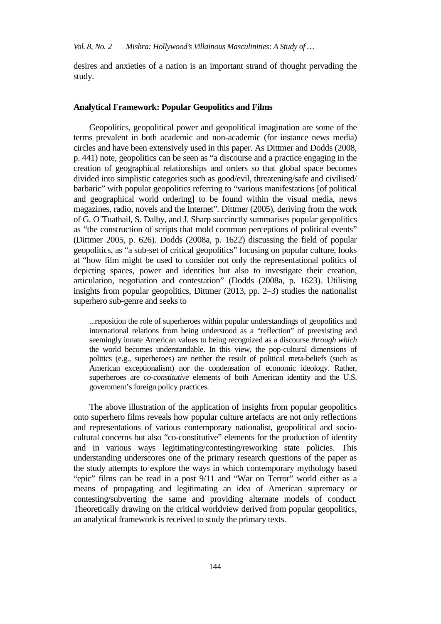desires and anxieties of a nation is an important strand of thought pervading the study.

#### **Analytical Framework: Popular Geopolitics and Films**

Geopolitics, geopolitical power and geopolitical imagination are some of the terms prevalent in both academic and non-academic (for instance news media) circles and have been extensively used in this paper. As Dittmer and Dodds (2008, p. 441) note, geopolitics can be seen as "a discourse and a practice engaging in the creation of geographical relationships and orders so that global space becomes divided into simplistic categories such as good/evil, threatening/safe and civilised/ barbaric" with popular geopolitics referring to "various manifestations [of political and geographical world ordering] to be found within the visual media, news magazines, radio, novels and the Internet". Dittmer (2005), deriving from the work of G. O´Tuathail, S. Dalby, and J. Sharp succinctly summarises popular geopolitics as "the construction of scripts that mold common perceptions of political events" (Dittmer 2005, p. 626). Dodds (2008a, p. 1622) discussing the field of popular geopolitics, as "a sub-set of critical geopolitics" focusing on popular culture, looks at "how film might be used to consider not only the representational politics of depicting spaces, power and identities but also to investigate their creation, articulation, negotiation and contestation" (Dodds (2008a, p. 1623). Utilising insights from popular geopolitics, Dittmer (2013, pp. 2–3) studies the nationalist superhero sub-genre and seeks to

...reposition the role of superheroes within popular understandings of geopolitics and international relations from being understood as a "reflection" of preexisting and seemingly innate American values to being recognized as a discourse *through which*  the world becomes understandable. In this view, the pop-cultural dimensions of politics (e.g., superheroes) are neither the result of political meta-beliefs (such as American exceptionalism) nor the condensation of economic ideology. Rather, superheroes are *co-constitutive* elements of both American identity and the U.S. government's foreign policy practices.

The above illustration of the application of insights from popular geopolitics onto superhero films reveals how popular culture artefacts are not only reflections and representations of various contemporary nationalist, geopolitical and sociocultural concerns but also "co-constitutive" elements for the production of identity and in various ways legitimating/contesting/reworking state policies. This understanding underscores one of the primary research questions of the paper as the study attempts to explore the ways in which contemporary mythology based "epic" films can be read in a post 9/11 and "War on Terror" world either as a means of propagating and legitimating an idea of American supremacy or contesting/subverting the same and providing alternate models of conduct. Theoretically drawing on the critical worldview derived from popular geopolitics, an analytical framework is received to study the primary texts.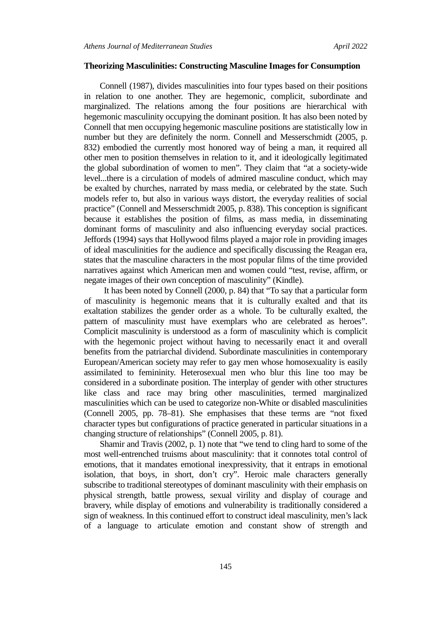## **Theorizing Masculinities: Constructing Masculine Images for Consumption**

Connell (1987), divides masculinities into four types based on their positions in relation to one another. They are hegemonic, complicit, subordinate and marginalized. The relations among the four positions are hierarchical with hegemonic masculinity occupying the dominant position. It has also been noted by Connell that men occupying hegemonic masculine positions are statistically low in number but they are definitely the norm. Connell and Messerschmidt (2005, p. 832) embodied the currently most honored way of being a man, it required all other men to position themselves in relation to it, and it ideologically legitimated the global subordination of women to men". They claim that "at a society-wide level...there is a circulation of models of admired masculine conduct, which may be exalted by churches, narrated by mass media, or celebrated by the state. Such models refer to, but also in various ways distort, the everyday realities of social practice" (Connell and Messerschmidt 2005, p. 838). This conception is significant because it establishes the position of films, as mass media, in disseminating dominant forms of masculinity and also influencing everyday social practices. Jeffords (1994) says that Hollywood films played a major role in providing images of ideal masculinities for the audience and specifically discussing the Reagan era, states that the masculine characters in the most popular films of the time provided narratives against which American men and women could "test, revise, affirm, or negate images of their own conception of masculinity" (Kindle).

 It has been noted by Connell (2000, p. 84) that "To say that a particular form of masculinity is hegemonic means that it is culturally exalted and that its exaltation stabilizes the gender order as a whole. To be culturally exalted, the pattern of masculinity must have exemplars who are celebrated as heroes". Complicit masculinity is understood as a form of masculinity which is complicit with the hegemonic project without having to necessarily enact it and overall benefits from the patriarchal dividend. Subordinate masculinities in contemporary European/American society may refer to gay men whose homosexuality is easily assimilated to femininity. Heterosexual men who blur this line too may be considered in a subordinate position. The interplay of gender with other structures like class and race may bring other masculinities, termed marginalized masculinities which can be used to categorize non-White or disabled masculinities (Connell 2005, pp. 78–81). She emphasises that these terms are "not fixed character types but configurations of practice generated in particular situations in a changing structure of relationships" (Connell 2005, p. 81).

Shamir and Travis (2002, p. 1) note that "we tend to cling hard to some of the most well-entrenched truisms about masculinity: that it connotes total control of emotions, that it mandates emotional inexpressivity, that it entraps in emotional isolation, that boys, in short, don't cry". Heroic male characters generally subscribe to traditional stereotypes of dominant masculinity with their emphasis on physical strength, battle prowess, sexual virility and display of courage and bravery, while display of emotions and vulnerability is traditionally considered a sign of weakness. In this continued effort to construct ideal masculinity, men's lack of a language to articulate emotion and constant show of strength and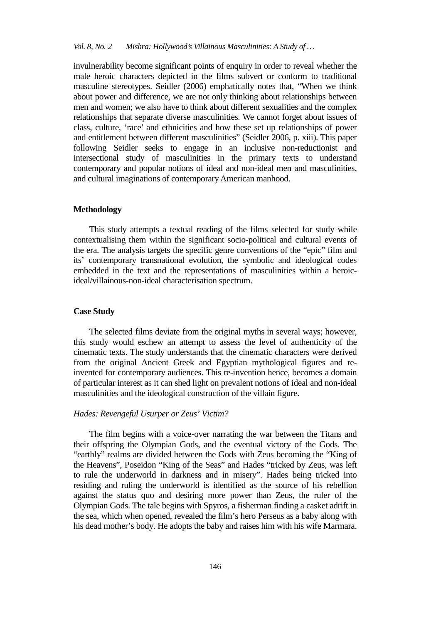invulnerability become significant points of enquiry in order to reveal whether the male heroic characters depicted in the films subvert or conform to traditional masculine stereotypes. Seidler (2006) emphatically notes that, "When we think about power and difference, we are not only thinking about relationships between men and women; we also have to think about different sexualities and the complex relationships that separate diverse masculinities. We cannot forget about issues of class, culture, 'race' and ethnicities and how these set up relationships of power and entitlement between different masculinities" (Seidler 2006, p. xiii). This paper following Seidler seeks to engage in an inclusive non-reductionist and intersectional study of masculinities in the primary texts to understand contemporary and popular notions of ideal and non-ideal men and masculinities, and cultural imaginations of contemporary American manhood.

#### **Methodology**

This study attempts a textual reading of the films selected for study while contextualising them within the significant socio-political and cultural events of the era. The analysis targets the specific genre conventions of the "epic" film and its' contemporary transnational evolution, the symbolic and ideological codes embedded in the text and the representations of masculinities within a heroicideal/villainous-non-ideal characterisation spectrum.

## **Case Study**

The selected films deviate from the original myths in several ways; however, this study would eschew an attempt to assess the level of authenticity of the cinematic texts. The study understands that the cinematic characters were derived from the original Ancient Greek and Egyptian mythological figures and reinvented for contemporary audiences. This re-invention hence, becomes a domain of particular interest as it can shed light on prevalent notions of ideal and non-ideal masculinities and the ideological construction of the villain figure.

#### *Hades: Revengeful Usurper or Zeus' Victim?*

The film begins with a voice-over narrating the war between the Titans and their offspring the Olympian Gods, and the eventual victory of the Gods. The "earthly" realms are divided between the Gods with Zeus becoming the "King of the Heavens", Poseidon "King of the Seas" and Hades "tricked by Zeus, was left to rule the underworld in darkness and in misery". Hades being tricked into residing and ruling the underworld is identified as the source of his rebellion against the status quo and desiring more power than Zeus, the ruler of the Olympian Gods. The tale begins with Spyros, a fisherman finding a casket adrift in the sea, which when opened, revealed the film's hero Perseus as a baby along with his dead mother's body. He adopts the baby and raises him with his wife Marmara.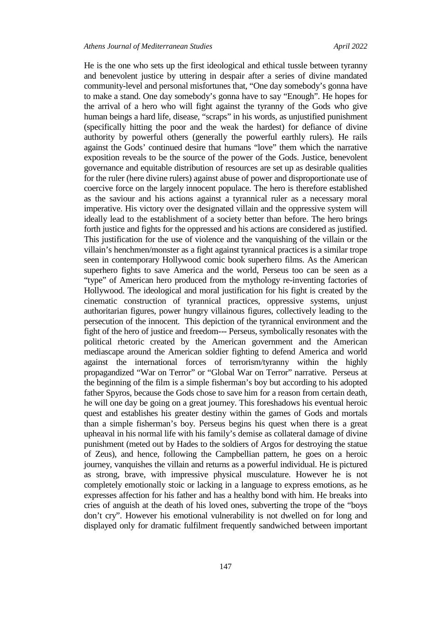He is the one who sets up the first ideological and ethical tussle between tyranny and benevolent justice by uttering in despair after a series of divine mandated community-level and personal misfortunes that, "One day somebody's gonna have to make a stand. One day somebody's gonna have to say "Enough". He hopes for the arrival of a hero who will fight against the tyranny of the Gods who give human beings a hard life, disease, "scraps" in his words, as unjustified punishment (specifically hitting the poor and the weak the hardest) for defiance of divine authority by powerful others (generally the powerful earthly rulers). He rails against the Gods' continued desire that humans "love" them which the narrative exposition reveals to be the source of the power of the Gods. Justice, benevolent governance and equitable distribution of resources are set up as desirable qualities for the ruler (here divine rulers) against abuse of power and disproportionate use of coercive force on the largely innocent populace. The hero is therefore established as the saviour and his actions against a tyrannical ruler as a necessary moral imperative. His victory over the designated villain and the oppressive system will ideally lead to the establishment of a society better than before. The hero brings forth justice and fights for the oppressed and his actions are considered as justified. This justification for the use of violence and the vanquishing of the villain or the villain's henchmen/monster as a fight against tyrannical practices is a similar trope seen in contemporary Hollywood comic book superhero films. As the American superhero fights to save America and the world, Perseus too can be seen as a "type" of American hero produced from the mythology re-inventing factories of Hollywood. The ideological and moral justification for his fight is created by the cinematic construction of tyrannical practices, oppressive systems, unjust authoritarian figures, power hungry villainous figures, collectively leading to the persecution of the innocent. This depiction of the tyrannical environment and the fight of the hero of justice and freedom--- Perseus, symbolically resonates with the political rhetoric created by the American government and the American mediascape around the American soldier fighting to defend America and world against the international forces of terrorism/tyranny within the highly propagandized "War on Terror" or "Global War on Terror" narrative. Perseus at the beginning of the film is a simple fisherman's boy but according to his adopted father Spyros, because the Gods chose to save him for a reason from certain death, he will one day be going on a great journey. This foreshadows his eventual heroic quest and establishes his greater destiny within the games of Gods and mortals than a simple fisherman's boy. Perseus begins his quest when there is a great upheaval in his normal life with his family's demise as collateral damage of divine punishment (meted out by Hades to the soldiers of Argos for destroying the statue of Zeus), and hence, following the Campbellian pattern, he goes on a heroic journey, vanquishes the villain and returns as a powerful individual. He is pictured as strong, brave, with impressive physical musculature. However he is not completely emotionally stoic or lacking in a language to express emotions, as he expresses affection for his father and has a healthy bond with him. He breaks into cries of anguish at the death of his loved ones, subverting the trope of the "boys don't cry". However his emotional vulnerability is not dwelled on for long and displayed only for dramatic fulfilment frequently sandwiched between important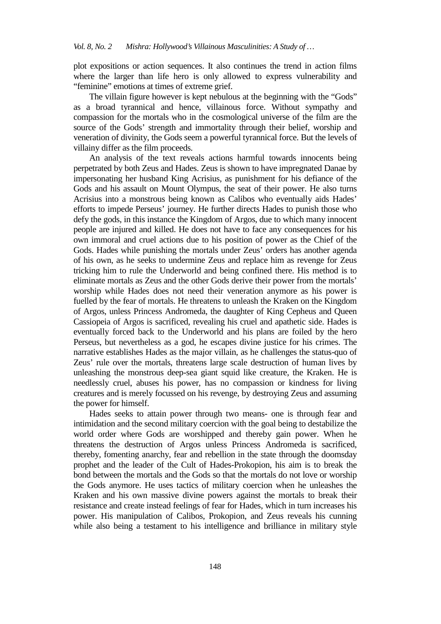plot expositions or action sequences. It also continues the trend in action films where the larger than life hero is only allowed to express vulnerability and "feminine" emotions at times of extreme grief.

The villain figure however is kept nebulous at the beginning with the "Gods" as a broad tyrannical and hence, villainous force. Without sympathy and compassion for the mortals who in the cosmological universe of the film are the source of the Gods' strength and immortality through their belief, worship and veneration of divinity, the Gods seem a powerful tyrannical force. But the levels of villainy differ as the film proceeds.

An analysis of the text reveals actions harmful towards innocents being perpetrated by both Zeus and Hades. Zeus is shown to have impregnated Danae by impersonating her husband King Acrisius, as punishment for his defiance of the Gods and his assault on Mount Olympus, the seat of their power. He also turns Acrisius into a monstrous being known as Calibos who eventually aids Hades' efforts to impede Perseus' journey. He further directs Hades to punish those who defy the gods, in this instance the Kingdom of Argos, due to which many innocent people are injured and killed. He does not have to face any consequences for his own immoral and cruel actions due to his position of power as the Chief of the Gods. Hades while punishing the mortals under Zeus' orders has another agenda of his own, as he seeks to undermine Zeus and replace him as revenge for Zeus tricking him to rule the Underworld and being confined there. His method is to eliminate mortals as Zeus and the other Gods derive their power from the mortals' worship while Hades does not need their veneration anymore as his power is fuelled by the fear of mortals. He threatens to unleash the Kraken on the Kingdom of Argos, unless Princess Andromeda, the daughter of King Cepheus and Queen Cassiopeia of Argos is sacrificed, revealing his cruel and apathetic side. Hades is eventually forced back to the Underworld and his plans are foiled by the hero Perseus, but nevertheless as a god, he escapes divine justice for his crimes. The narrative establishes Hades as the major villain, as he challenges the status-quo of Zeus' rule over the mortals, threatens large scale destruction of human lives by unleashing the monstrous deep-sea giant squid like creature, the Kraken. He is needlessly cruel, abuses his power, has no compassion or kindness for living creatures and is merely focussed on his revenge, by destroying Zeus and assuming the power for himself.

Hades seeks to attain power through two means- one is through fear and intimidation and the second military coercion with the goal being to destabilize the world order where Gods are worshipped and thereby gain power. When he threatens the destruction of Argos unless Princess Andromeda is sacrificed, thereby, fomenting anarchy, fear and rebellion in the state through the doomsday prophet and the leader of the Cult of Hades-Prokopion, his aim is to break the bond between the mortals and the Gods so that the mortals do not love or worship the Gods anymore. He uses tactics of military coercion when he unleashes the Kraken and his own massive divine powers against the mortals to break their resistance and create instead feelings of fear for Hades, which in turn increases his power. His manipulation of Calibos, Prokopion, and Zeus reveals his cunning while also being a testament to his intelligence and brilliance in military style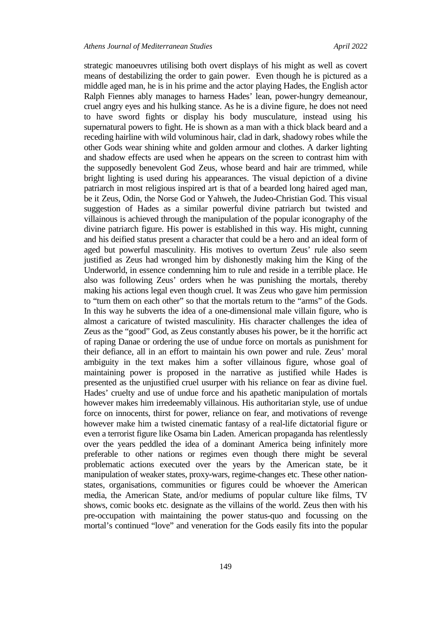strategic manoeuvres utilising both overt displays of his might as well as covert means of destabilizing the order to gain power. Even though he is pictured as a middle aged man, he is in his prime and the actor playing Hades, the English actor Ralph Fiennes ably manages to harness Hades' lean, power-hungry demeanour, cruel angry eyes and his hulking stance. As he is a divine figure, he does not need to have sword fights or display his body musculature, instead using his supernatural powers to fight. He is shown as a man with a thick black beard and a receding hairline with wild voluminous hair, clad in dark, shadowy robes while the other Gods wear shining white and golden armour and clothes. A darker lighting and shadow effects are used when he appears on the screen to contrast him with the supposedly benevolent God Zeus, whose beard and hair are trimmed, while bright lighting is used during his appearances. The visual depiction of a divine patriarch in most religious inspired art is that of a bearded long haired aged man, be it Zeus, Odin, the Norse God or Yahweh, the Judeo-Christian God. This visual suggestion of Hades as a similar powerful divine patriarch but twisted and villainous is achieved through the manipulation of the popular iconography of the divine patriarch figure. His power is established in this way. His might, cunning and his deified status present a character that could be a hero and an ideal form of aged but powerful masculinity. His motives to overturn Zeus' rule also seem justified as Zeus had wronged him by dishonestly making him the King of the Underworld, in essence condemning him to rule and reside in a terrible place. He also was following Zeus' orders when he was punishing the mortals, thereby making his actions legal even though cruel. It was Zeus who gave him permission to "turn them on each other" so that the mortals return to the "arms" of the Gods. In this way he subverts the idea of a one-dimensional male villain figure, who is almost a caricature of twisted masculinity. His character challenges the idea of Zeus as the "good" God, as Zeus constantly abuses his power, be it the horrific act of raping Danae or ordering the use of undue force on mortals as punishment for their defiance, all in an effort to maintain his own power and rule. Zeus' moral ambiguity in the text makes him a softer villainous figure, whose goal of maintaining power is proposed in the narrative as justified while Hades is presented as the unjustified cruel usurper with his reliance on fear as divine fuel. Hades' cruelty and use of undue force and his apathetic manipulation of mortals however makes him irredeemably villainous. His authoritarian style, use of undue force on innocents, thirst for power, reliance on fear, and motivations of revenge however make him a twisted cinematic fantasy of a real-life dictatorial figure or even a terrorist figure like Osama bin Laden. American propaganda has relentlessly over the years peddled the idea of a dominant America being infinitely more preferable to other nations or regimes even though there might be several problematic actions executed over the years by the American state, be it manipulation of weaker states, proxy-wars, regime-changes etc. These other nationstates, organisations, communities or figures could be whoever the American media, the American State, and/or mediums of popular culture like films, TV shows, comic books etc. designate as the villains of the world. Zeus then with his pre-occupation with maintaining the power status-quo and focussing on the mortal's continued "love" and veneration for the Gods easily fits into the popular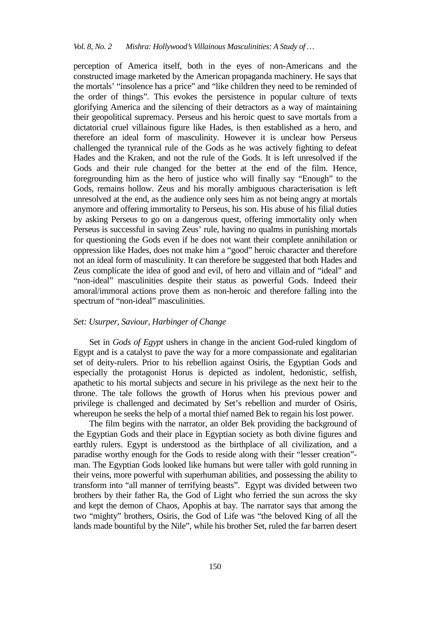perception of America itself, both in the eyes of non-Americans and the constructed image marketed by the American propaganda machinery. He says that the mortals' "insolence has a price" and "like children they need to be reminded of the order of things". This evokes the persistence in popular culture of texts glorifying America and the silencing of their detractors as a way of maintaining their geopolitical supremacy. Perseus and his heroic quest to save mortals from a dictatorial cruel villainous figure like Hades, is then established as a hero, and therefore an ideal form of masculinity. However it is unclear how Perseus challenged the tyrannical rule of the Gods as he was actively fighting to defeat Hades and the Kraken, and not the rule of the Gods. It is left unresolved if the Gods and their rule changed for the better at the end of the film. Hence, foregrounding him as the hero of justice who will finally say "Enough" to the Gods, remains hollow. Zeus and his morally ambiguous characterisation is left unresolved at the end, as the audience only sees him as not being angry at mortals anymore and offering immortality to Perseus, his son. His abuse of his filial duties by asking Perseus to go on a dangerous quest, offering immortality only when Perseus is successful in saving Zeus' rule, having no qualms in punishing mortals for questioning the Gods even if he does not want their complete annihilation or oppression like Hades, does not make him a "good" heroic character and therefore not an ideal form of masculinity. It can therefore be suggested that both Hades and Zeus complicate the idea of good and evil, of hero and villain and of "ideal" and "non-ideal" masculinities despite their status as powerful Gods. Indeed their amoral/immoral actions prove them as non-heroic and therefore falling into the spectrum of "non-ideal" masculinities.

## *Set: Usurper, Saviour, Harbinger of Change*

Set in *Gods of Egypt* ushers in change in the ancient God-ruled kingdom of Egypt and is a catalyst to pave the way for a more compassionate and egalitarian set of deity-rulers. Prior to his rebellion against Osiris, the Egyptian Gods and especially the protagonist Horus is depicted as indolent, hedonistic, selfish, apathetic to his mortal subjects and secure in his privilege as the next heir to the throne. The tale follows the growth of Horus when his previous power and privilege is challenged and decimated by Set's rebellion and murder of Osiris, whereupon he seeks the help of a mortal thief named Bek to regain his lost power.

The film begins with the narrator, an older Bek providing the background of the Egyptian Gods and their place in Egyptian society as both divine figures and earthly rulers. Egypt is understood as the birthplace of all civilization, and a paradise worthy enough for the Gods to reside along with their "lesser creation" man. The Egyptian Gods looked like humans but were taller with gold running in their veins, more powerful with superhuman abilities, and possessing the ability to transform into "all manner of terrifying beasts". Egypt was divided between two brothers by their father Ra, the God of Light who ferried the sun across the sky and kept the demon of Chaos, Apophis at bay. The narrator says that among the two "mighty" brothers, Osiris, the God of Life was "the beloved King of all the lands made bountiful by the Nile", while his brother Set, ruled the far barren desert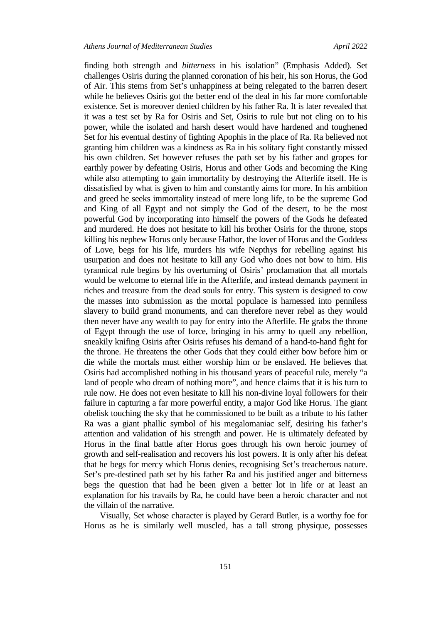finding both strength and *bitterness* in his isolation" (Emphasis Added). Set challenges Osiris during the planned coronation of his heir, his son Horus, the God of Air. This stems from Set's unhappiness at being relegated to the barren desert while he believes Osiris got the better end of the deal in his far more comfortable existence. Set is moreover denied children by his father Ra. It is later revealed that it was a test set by Ra for Osiris and Set, Osiris to rule but not cling on to his power, while the isolated and harsh desert would have hardened and toughened Set for his eventual destiny of fighting Apophis in the place of Ra. Ra believed not granting him children was a kindness as Ra in his solitary fight constantly missed his own children. Set however refuses the path set by his father and gropes for earthly power by defeating Osiris, Horus and other Gods and becoming the King while also attempting to gain immortality by destroying the Afterlife itself. He is dissatisfied by what is given to him and constantly aims for more. In his ambition and greed he seeks immortality instead of mere long life, to be the supreme God and King of all Egypt and not simply the God of the desert, to be the most powerful God by incorporating into himself the powers of the Gods he defeated and murdered. He does not hesitate to kill his brother Osiris for the throne, stops killing his nephew Horus only because Hathor, the lover of Horus and the Goddess of Love, begs for his life, murders his wife Nepthys for rebelling against his usurpation and does not hesitate to kill any God who does not bow to him. His tyrannical rule begins by his overturning of Osiris' proclamation that all mortals would be welcome to eternal life in the Afterlife, and instead demands payment in riches and treasure from the dead souls for entry. This system is designed to cow the masses into submission as the mortal populace is harnessed into penniless slavery to build grand monuments, and can therefore never rebel as they would then never have any wealth to pay for entry into the Afterlife. He grabs the throne of Egypt through the use of force, bringing in his army to quell any rebellion, sneakily knifing Osiris after Osiris refuses his demand of a hand-to-hand fight for the throne. He threatens the other Gods that they could either bow before him or die while the mortals must either worship him or be enslaved. He believes that Osiris had accomplished nothing in his thousand years of peaceful rule, merely "a land of people who dream of nothing more", and hence claims that it is his turn to rule now. He does not even hesitate to kill his non-divine loyal followers for their failure in capturing a far more powerful entity, a major God like Horus. The giant obelisk touching the sky that he commissioned to be built as a tribute to his father Ra was a giant phallic symbol of his megalomaniac self, desiring his father's attention and validation of his strength and power. He is ultimately defeated by Horus in the final battle after Horus goes through his own heroic journey of growth and self-realisation and recovers his lost powers. It is only after his defeat that he begs for mercy which Horus denies, recognising Set's treacherous nature. Set's pre-destined path set by his father Ra and his justified anger and bitterness begs the question that had he been given a better lot in life or at least an explanation for his travails by Ra, he could have been a heroic character and not the villain of the narrative.

Visually, Set whose character is played by Gerard Butler, is a worthy foe for Horus as he is similarly well muscled, has a tall strong physique, possesses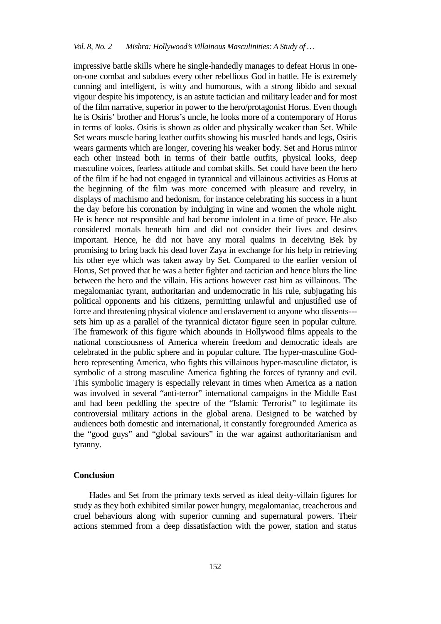impressive battle skills where he single-handedly manages to defeat Horus in oneon-one combat and subdues every other rebellious God in battle. He is extremely cunning and intelligent, is witty and humorous, with a strong libido and sexual vigour despite his impotency, is an astute tactician and military leader and for most of the film narrative, superior in power to the hero/protagonist Horus. Even though he is Osiris' brother and Horus's uncle, he looks more of a contemporary of Horus in terms of looks. Osiris is shown as older and physically weaker than Set. While Set wears muscle baring leather outfits showing his muscled hands and legs, Osiris wears garments which are longer, covering his weaker body. Set and Horus mirror each other instead both in terms of their battle outfits, physical looks, deep masculine voices, fearless attitude and combat skills. Set could have been the hero of the film if he had not engaged in tyrannical and villainous activities as Horus at the beginning of the film was more concerned with pleasure and revelry, in displays of machismo and hedonism, for instance celebrating his success in a hunt the day before his coronation by indulging in wine and women the whole night. He is hence not responsible and had become indolent in a time of peace. He also considered mortals beneath him and did not consider their lives and desires important. Hence, he did not have any moral qualms in deceiving Bek by promising to bring back his dead lover Zaya in exchange for his help in retrieving his other eye which was taken away by Set. Compared to the earlier version of Horus, Set proved that he was a better fighter and tactician and hence blurs the line between the hero and the villain. His actions however cast him as villainous. The megalomaniac tyrant, authoritarian and undemocratic in his rule, subjugating his political opponents and his citizens, permitting unlawful and unjustified use of force and threatening physical violence and enslavement to anyone who dissents-- sets him up as a parallel of the tyrannical dictator figure seen in popular culture. The framework of this figure which abounds in Hollywood films appeals to the national consciousness of America wherein freedom and democratic ideals are celebrated in the public sphere and in popular culture. The hyper-masculine Godhero representing America, who fights this villainous hyper-masculine dictator, is symbolic of a strong masculine America fighting the forces of tyranny and evil. This symbolic imagery is especially relevant in times when America as a nation was involved in several "anti-terror" international campaigns in the Middle East and had been peddling the spectre of the "Islamic Terrorist" to legitimate its controversial military actions in the global arena. Designed to be watched by audiences both domestic and international, it constantly foregrounded America as the "good guys" and "global saviours" in the war against authoritarianism and tyranny.

### **Conclusion**

Hades and Set from the primary texts served as ideal deity-villain figures for study as they both exhibited similar power hungry, megalomaniac, treacherous and cruel behaviours along with superior cunning and supernatural powers. Their actions stemmed from a deep dissatisfaction with the power, station and status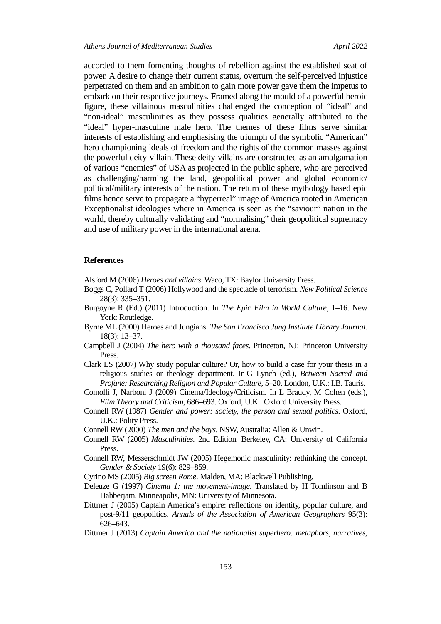accorded to them fomenting thoughts of rebellion against the established seat of power. A desire to change their current status, overturn the self-perceived injustice perpetrated on them and an ambition to gain more power gave them the impetus to embark on their respective journeys. Framed along the mould of a powerful heroic figure, these villainous masculinities challenged the conception of "ideal" and "non-ideal" masculinities as they possess qualities generally attributed to the "ideal" hyper-masculine male hero. The themes of these films serve similar interests of establishing and emphasising the triumph of the symbolic "American" hero championing ideals of freedom and the rights of the common masses against the powerful deity-villain. These deity-villains are constructed as an amalgamation of various "enemies" of USA as projected in the public sphere, who are perceived as challenging/harming the land, geopolitical power and global economic/ political/military interests of the nation. The return of these mythology based epic films hence serve to propagate a "hyperreal" image of America rooted in American Exceptionalist ideologies where in America is seen as the "saviour" nation in the world, thereby culturally validating and "normalising" their geopolitical supremacy and use of military power in the international arena.

#### **References**

Alsford M (2006) *Heroes and villains*. Waco, TX: Baylor University Press.

- Boggs C, Pollard T (2006) Hollywood and the spectacle of terrorism. *New Political Science* 28(3): 335–351.
- Burgoyne R (Ed.) (2011) Introduction. In *The Epic Film in World Culture*, 1–16. New York: Routledge.
- Byrne ML (2000) Heroes and Jungians. *The San Francisco Jung Institute Library Journal.* 18(3): 13–37.
- Campbell J (2004) *The hero with a thousand faces*. Princeton, NJ: Princeton University Press.
- Clark LS (2007) Why study popular culture? Or, how to build a case for your thesis in a religious studies or theology department. In G Lynch (ed.), *Between Sacred and Profane: Researching Religion and Popular Culture*, 5–20. London, U.K.: I.B. Tauris.
- Comolli J, Narboni J (2009) Cinema/Ideology/Criticism. In L Braudy, M Cohen (eds.), *Film Theory and Criticism*, 686–693. Oxford, U.K.: Oxford University Press.
- Connell RW (1987) *Gender and power: society, the person and sexual politics*. Oxford, U.K.: Polity Press.

Connell RW (2000) *The men and the boys*. NSW, Australia: Allen & Unwin.

- Connell RW (2005) *Masculinities.* 2nd Edition*.* Berkeley, CA: University of California Press.
- Connell RW, Messerschmidt JW (2005) Hegemonic masculinity: rethinking the concept. *Gender & Society* 19(6): 829–859.

Cyrino MS (2005) *Big screen Rome*. Malden, MA: Blackwell Publishing.

- Deleuze G (1997) *Cinema 1: the movement-image*. Translated by H Tomlinson and B Habberjam. Minneapolis, MN: University of Minnesota.
- Dittmer J (2005) Captain America's empire: reflections on identity, popular culture, and post-9/11 geopolitics. *Annals of the Association of American Geographers* 95(3): 626–643.
- Dittmer J (2013) *Captain America and the nationalist superhero: metaphors, narratives,*